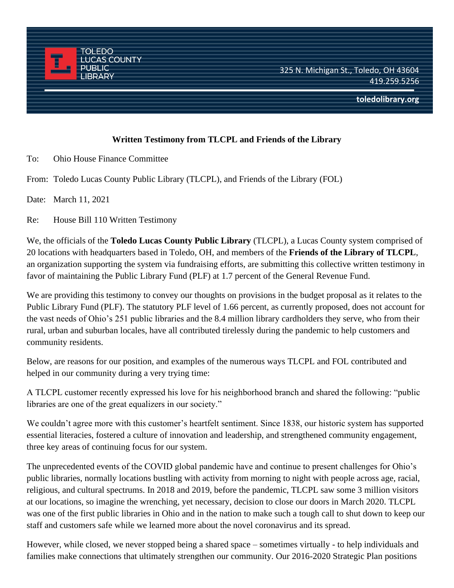

## **Written Testimony from TLCPL and Friends of the Library**

To: Ohio House Finance Committee

From: Toledo Lucas County Public Library (TLCPL), and Friends of the Library (FOL)

Date: March 11, 2021

Re: House Bill 110 Written Testimony

We, the officials of the **Toledo Lucas County Public Library** (TLCPL), a Lucas County system comprised of 20 locations with headquarters based in Toledo, OH, and members of the **Friends of the Library of TLCPL**, an organization supporting the system via fundraising efforts, are submitting this collective written testimony in favor of maintaining the Public Library Fund (PLF) at 1.7 percent of the General Revenue Fund.

We are providing this testimony to convey our thoughts on provisions in the budget proposal as it relates to the Public Library Fund (PLF). The statutory PLF level of 1.66 percent, as currently proposed, does not account for the vast needs of Ohio's 251 public libraries and the 8.4 million library cardholders they serve, who from their rural, urban and suburban locales, have all contributed tirelessly during the pandemic to help customers and community residents.

Below, are reasons for our position, and examples of the numerous ways TLCPL and FOL contributed and helped in our community during a very trying time:

A TLCPL customer recently expressed his love for his neighborhood branch and shared the following: "public libraries are one of the great equalizers in our society."

We couldn't agree more with this customer's heartfelt sentiment. Since 1838, our historic system has supported essential literacies, fostered a culture of innovation and leadership, and strengthened community engagement, three key areas of continuing focus for our system.

The unprecedented events of the COVID global pandemic have and continue to present challenges for Ohio's public libraries, normally locations bustling with activity from morning to night with people across age, racial, religious, and cultural spectrums. In 2018 and 2019, before the pandemic, TLCPL saw some 3 million visitors at our locations, so imagine the wrenching, yet necessary, decision to close our doors in March 2020. TLCPL was one of the first public libraries in Ohio and in the nation to make such a tough call to shut down to keep our staff and customers safe while we learned more about the novel coronavirus and its spread.

However, while closed, we never stopped being a shared space – sometimes virtually - to help individuals and families make connections that ultimately strengthen our community. Our 2016-2020 Strategic Plan positions